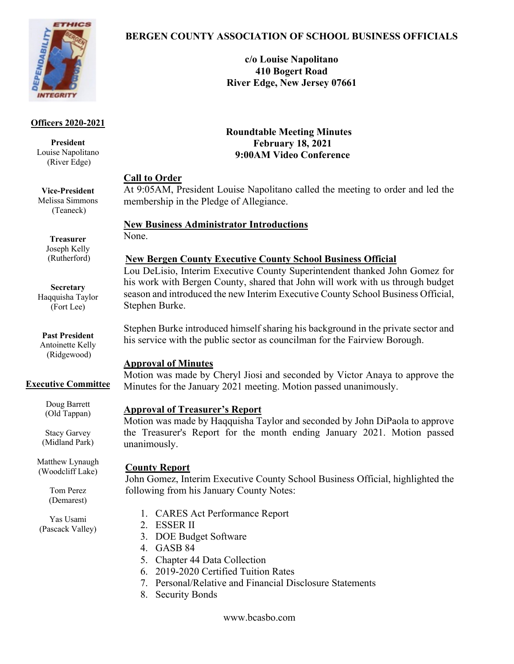

#### **Officers 2020-2021**

**President** Louise Napolitano (River Edge)

**Vice-President** Melissa Simmons (Teaneck)

> **Treasurer** Joseph Kelly (Rutherford)

# **Secretary** Haqquisha Taylor

(Fort Lee)

#### **Past President** Antoinette Kelly

(Ridgewood)

# **Executive Committee**

Doug Barrett (Old Tappan)

Stacy Garvey (Midland Park)

Matthew Lynaugh (Woodcliff Lake)

> Tom Perez (Demarest)

Yas Usami (Pascack Valley)

# **BERGEN COUNTY ASSOCIATION OF SCHOOL BUSINESS OFFICIALS**

**c/o Louise Napolitano 410 Bogert Road River Edge, New Jersey 07661**

**Roundtable Meeting Minutes February 18, 2021 9:00AM Video Conference**

#### **Call to Order**

At 9:05AM, President Louise Napolitano called the meeting to order and led the membership in the Pledge of Allegiance.

# **New Business Administrator Introductions**

None.

# **New Bergen County Executive County School Business Official**

Lou DeLisio, Interim Executive County Superintendent thanked John Gomez for his work with Bergen County, shared that John will work with us through budget season and introduced the new Interim Executive County School Business Official, Stephen Burke.

Stephen Burke introduced himself sharing his background in the private sector and his service with the public sector as councilman for the Fairview Borough.

# **Approval of Minutes**

Motion was made by Cheryl Jiosi and seconded by Victor Anaya to approve the Minutes for the January 2021 meeting. Motion passed unanimously.

# **Approval of Treasurer's Report**

Motion was made by Haqquisha Taylor and seconded by John DiPaola to approve the Treasurer's Report for the month ending January 2021. Motion passed unanimously.

# **County Report**

John Gomez, Interim Executive County School Business Official, highlighted the following from his January County Notes:

- 1. CARES Act Performance Report
- 2. ESSER II
- 3. DOE Budget Software
- 4. GASB 84
- 5. Chapter 44 Data Collection
- 6. 2019-2020 Certified Tuition Rates
- 7. Personal/Relative and Financial Disclosure Statements
- 8. Security Bonds